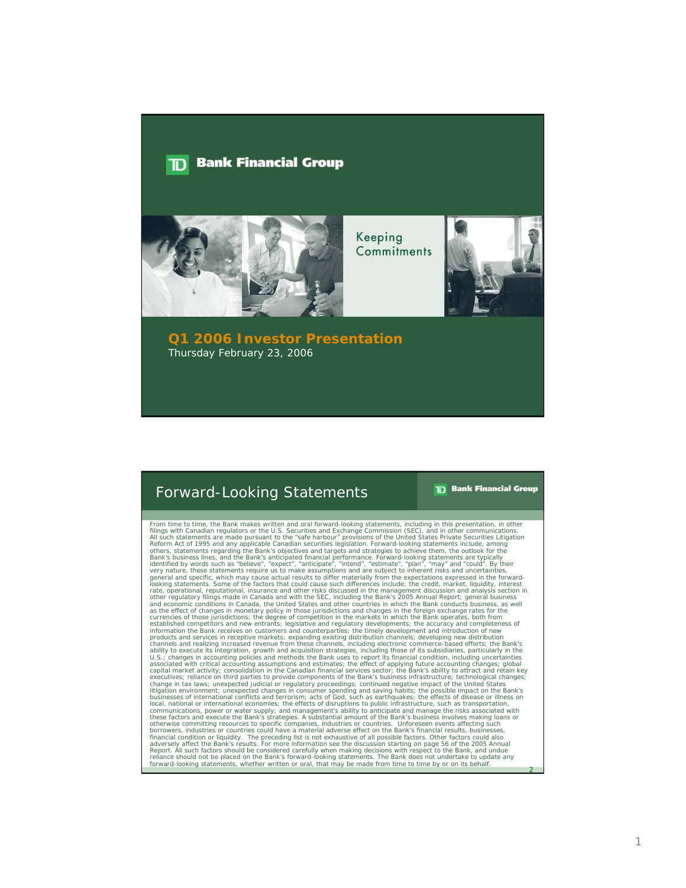#### **Bank Financial Group** חד



Keeping Commitments



**Q1 2006 Investor Presentation** Thursday February 23, 2006

### Forward-Looking Statements

**TD** Bank Financial Group

2

From time to time, the Bank makes written and oral forward-looking statements, including in this presentation, in other filings with Canadian regulators or the U.S. Securities and Exchange Commission (SEC), and in other communications.<br>All such statements are made pursuant to the "safe harbour" provisions of the United States Private Securi Bank's business lines, and the Bank's anticipated financial performance. Forward-looking statements are typically<br>identified by words such as "believe", "expect", "anticipate", "intend", "estimate", "plan", "may" and "coul rate, operational, reputational, insurance and other irsks discussed in the management discussion and analysis section in the management discussion and any other regulatory filings made in Canada and with the SEC, includin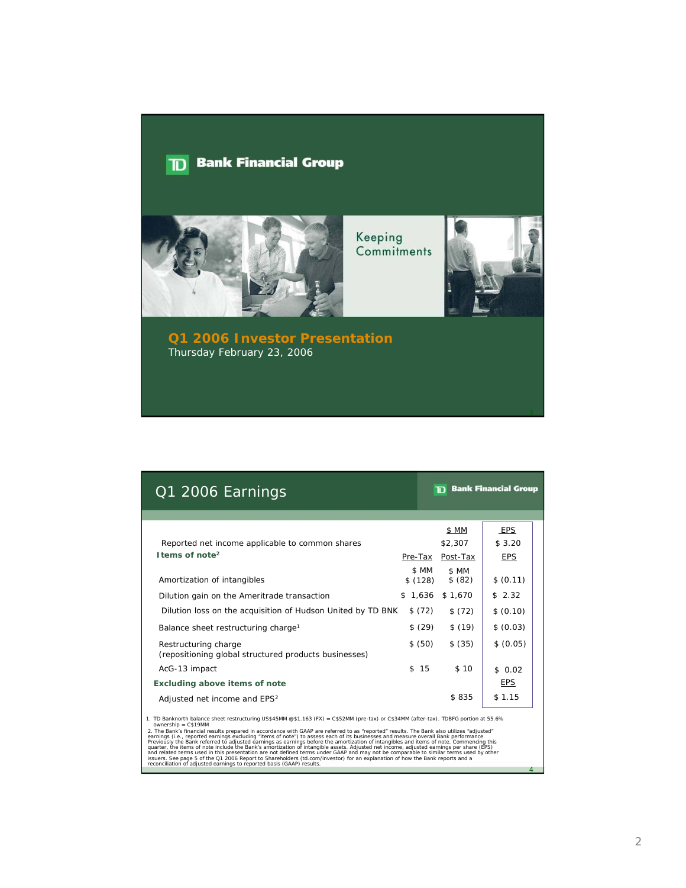## $\boxed{\mathbf{D}}$  Bank Financial Group



Keeping Commitments



**Q1 2006 Investor Presentation** Thursday February 23, 2006

| Q1 2006 Earnings                                                                                                                                                                                                                                                                                           |                  | m.               | <b>Bank Financial Group</b> |  |
|------------------------------------------------------------------------------------------------------------------------------------------------------------------------------------------------------------------------------------------------------------------------------------------------------------|------------------|------------------|-----------------------------|--|
|                                                                                                                                                                                                                                                                                                            |                  |                  |                             |  |
|                                                                                                                                                                                                                                                                                                            |                  | \$ MM            | EPS                         |  |
| Reported net income applicable to common shares                                                                                                                                                                                                                                                            |                  | \$2,307          | \$3.20                      |  |
| I tems of note <sup>2</sup>                                                                                                                                                                                                                                                                                | Pre-Tax          | Post-Tax         | <b>EPS</b>                  |  |
| Amortization of intangibles                                                                                                                                                                                                                                                                                | \$ MM<br>\$(128) | \$ MM<br>\$ (82) | \$ (0.11)                   |  |
| Dilution gain on the Ameritrade transaction                                                                                                                                                                                                                                                                | \$1,636          | \$1,670          | \$2.32                      |  |
| Dilution loss on the acquisition of Hudson United by TD BNK                                                                                                                                                                                                                                                | \$(72)           | \$(72)           | \$ (0.10)                   |  |
| Balance sheet restructuring charge <sup>1</sup>                                                                                                                                                                                                                                                            | \$ (29)          | \$(19)           | \$ (0.03)                   |  |
| Restructuring charge<br>(repositioning global structured products businesses)                                                                                                                                                                                                                              | \$ (50)          | \$ (35)          | \$ (0.05)                   |  |
| AcG-13 impact                                                                                                                                                                                                                                                                                              | 15<br>\$         | \$10             | \$0.02                      |  |
| <b>Excluding above items of note</b>                                                                                                                                                                                                                                                                       |                  |                  | <b>EPS</b>                  |  |
| Adjusted net income and EPS <sup>2</sup>                                                                                                                                                                                                                                                                   |                  | \$835            | \$1.15                      |  |
| 1. TD Banknorth balance sheet restructuring US\$45MM @\$1.163 (FX) = C\$52MM (pre-tax) or C\$34MM (after-tax). TDBFG portion at 55.6%<br>$ownership = C$19MM$<br>2. The Bank's financial results prenared in accordance with GAAP are referred to as "reported" results. The Bank also utilizes "adjusted" |                  |                  |                             |  |

2. The Bank's financial results prepared in accordance with GAAP are referred to as "reported" results. The Bank also utilized"<br>earnings (i.e., reported earnings excluding "items of note") to assess each of its businesses

4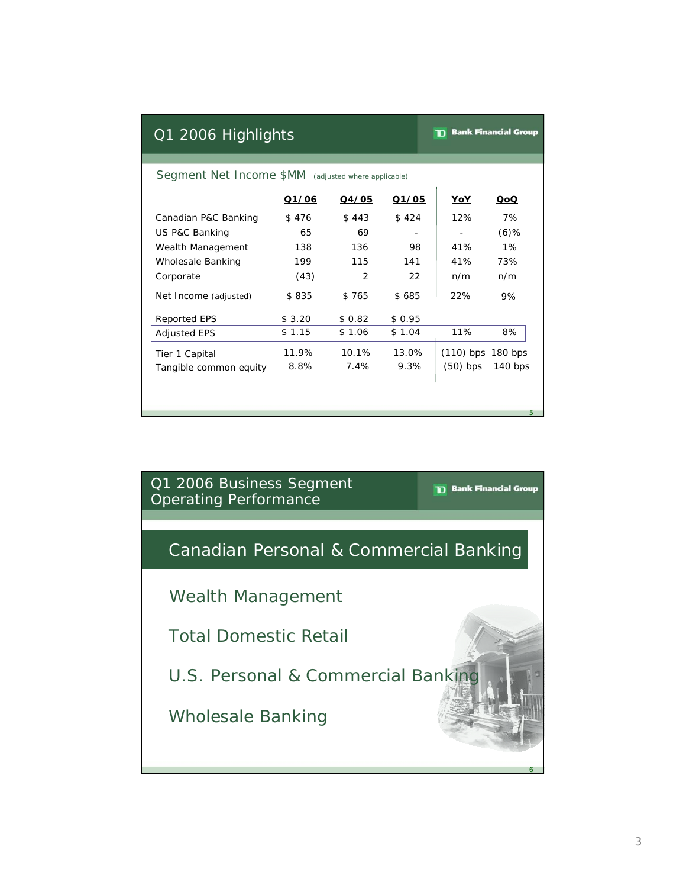### Q1 2006 Highlights

**TD** Bank Financial Group

#### Segment Net Income \$MM (adjusted where applicable)

|                        | Q1/06  | Q4/05  | Q1/05  | YoY                 | QoQ     |
|------------------------|--------|--------|--------|---------------------|---------|
| Canadian P&C Banking   | \$476  | \$443  | \$424  | 12%                 | 7%      |
| US P&C Banking         | 65     | 69     |        |                     | $(6)$ % |
| Wealth Management      | 138    | 136    | 98     | 41%                 | $1\%$   |
| Wholesale Banking      | 199    | 115    | 141    | 41%                 | 73%     |
| Corporate              | (43)   | 2      | 22     | n/m                 | n/m     |
| Net Income (adjusted)  | \$835  | \$765  | \$685  | 22%                 | 9%      |
| <b>Reported EPS</b>    | \$3.20 | \$0.82 | \$0.95 |                     |         |
| <b>Adjusted EPS</b>    | \$1.15 | \$1.06 | \$1.04 | 11%                 | 8%      |
| Tier 1 Capital         | 11.9%  | 10.1%  | 13.0%  | $(110)$ bps 180 bps |         |
| Tangible common equity | 8.8%   | 7.4%   | 9.3%   | $(50)$ bps          | 140 bps |
|                        |        |        |        |                     |         |

Q1 2006 Business Segment Operating Performance

**TD** Bank Financial Group

5

6

# Canadian Personal & Commercial Banking

Wealth Management

Total Domestic Retail

U.S. Personal & Commercial Banking

Wholesale Banking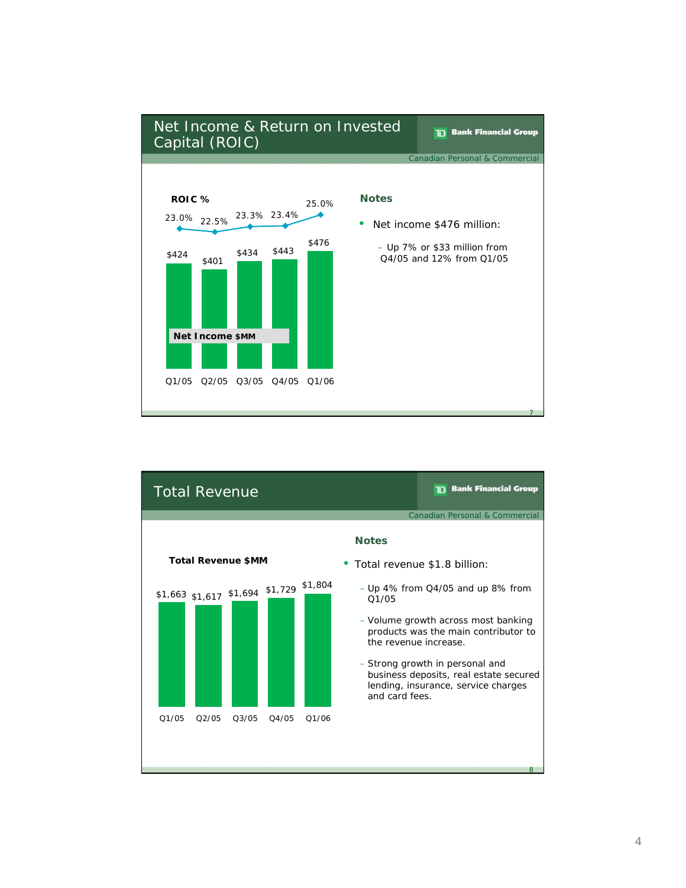

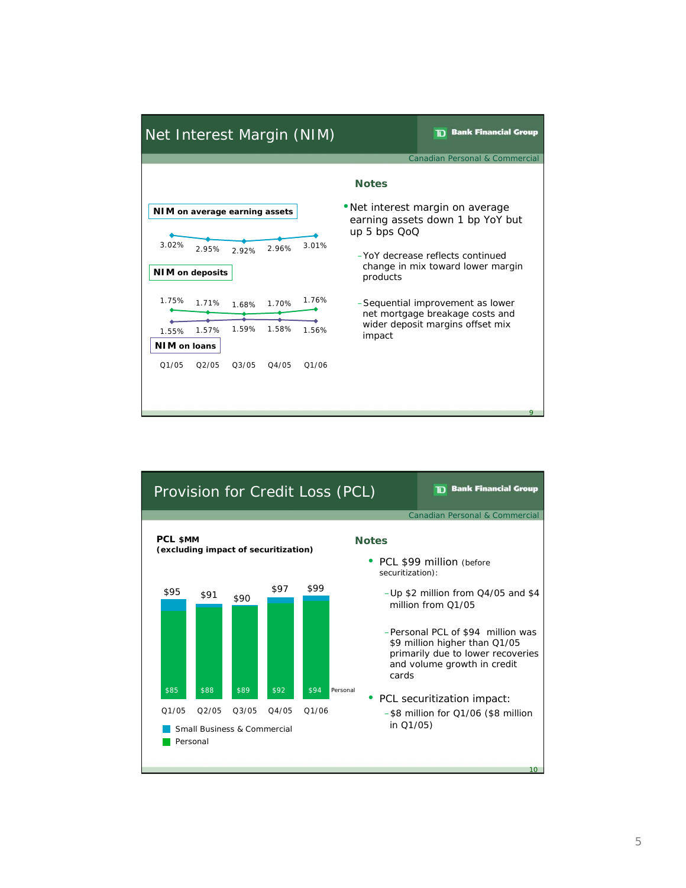

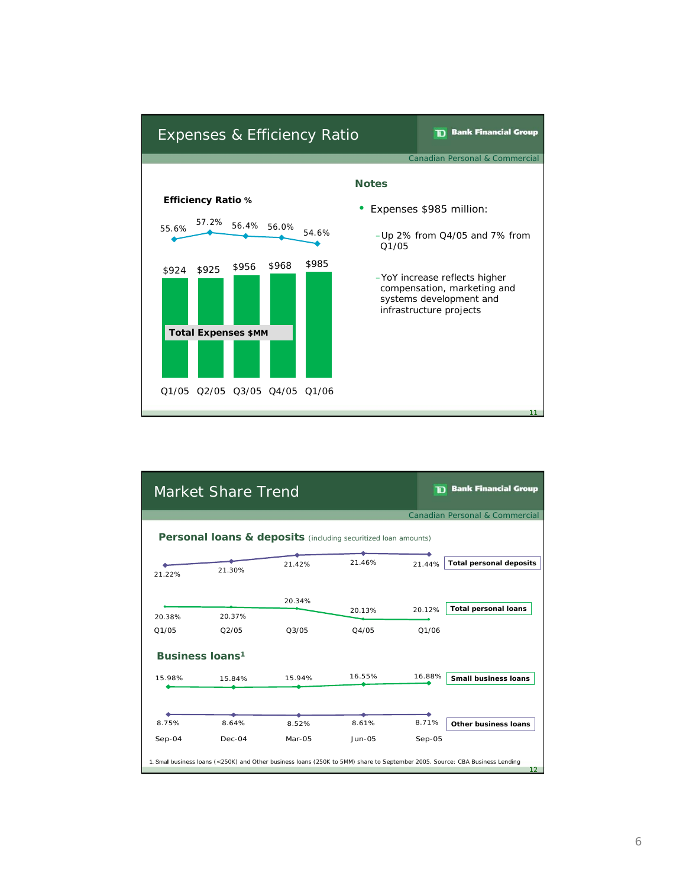

|          | <b>Market Share Trend</b>                                      |                                |               |          | <b>TD</b> Bank Financial Group                                                                                                                  |
|----------|----------------------------------------------------------------|--------------------------------|---------------|----------|-------------------------------------------------------------------------------------------------------------------------------------------------|
|          |                                                                |                                |               |          | <b>Canadian Personal &amp; Commercial</b>                                                                                                       |
|          | Personal loans & deposits (including securitized loan amounts) |                                |               |          |                                                                                                                                                 |
| 21.22%   | 21.30%                                                         | 21.42%                         | 21.46%        | 21.44%   | <b>Total personal deposits</b>                                                                                                                  |
| 20.38%   | 20.37%                                                         | 20.34%                         | 20.13%        | 20.12%   | <b>Total personal loans</b>                                                                                                                     |
| Q1/05    | O2/05                                                          | O <sub>3</sub> /O <sub>5</sub> | O4/05         | O1/06    |                                                                                                                                                 |
|          | <b>Business loans<sup>1</sup></b>                              |                                |               |          |                                                                                                                                                 |
| 15.98%   | 15.84%                                                         | 15.94%                         | 16.55%        | 16.88%   | <b>Small business loans</b>                                                                                                                     |
|          |                                                                |                                |               |          |                                                                                                                                                 |
| 8.75%    | 8.64%                                                          | 8.52%                          | 8.61%         | 8.71%    | <b>Other business loans</b>                                                                                                                     |
| $Sep-04$ | Dec-04                                                         | Mar-05                         | <b>Jun-05</b> | $Sep-05$ |                                                                                                                                                 |
|          |                                                                |                                |               |          | 1. Small business loans (<250K) and Other business loans (250K to 5MM) share to September 2005. Source: CBA Business Lending<br>12 <sup>2</sup> |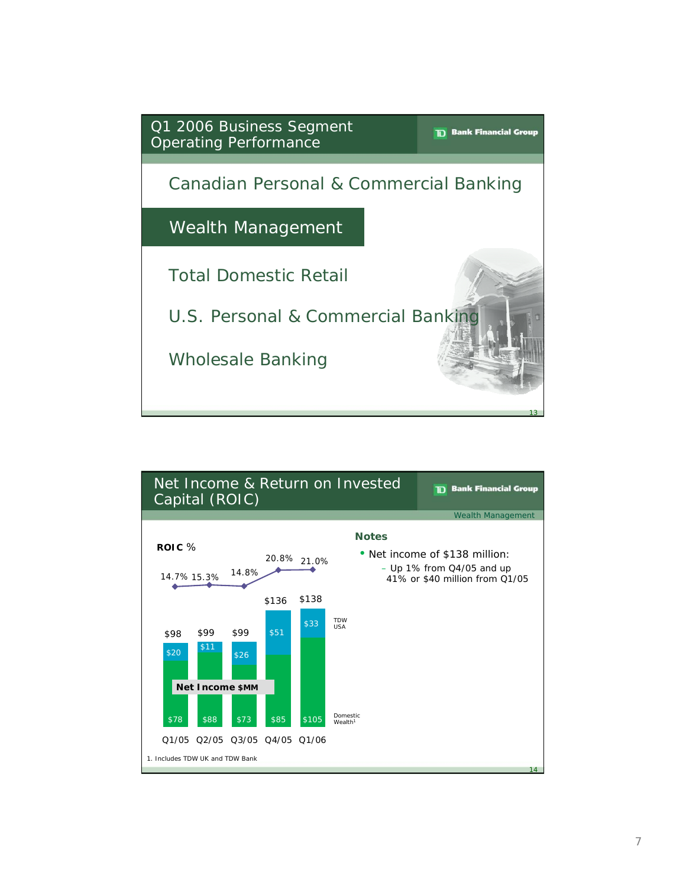

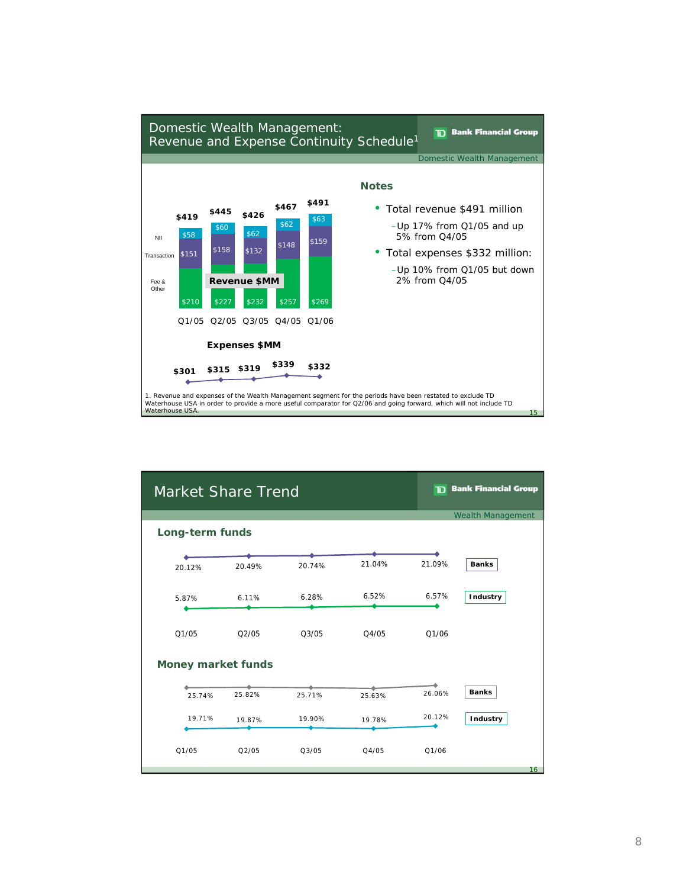

| <b>Market Share Trend</b> |        |        |        |        | <b>TD</b> Bank Financial Group |
|---------------------------|--------|--------|--------|--------|--------------------------------|
|                           |        |        |        |        | <b>Wealth Management</b>       |
| <b>Long-term funds</b>    |        |        |        |        |                                |
|                           |        |        |        |        |                                |
| 20.12%                    | 20.49% | 20.74% | 21.04% | 21.09% | <b>Banks</b>                   |
| 5.87%                     | 6.11%  | 6.28%  | 6.52%  | 6.57%  | <b>Industry</b>                |
| Q1/05                     | Q2/05  | Q3/05  | Q4/05  | Q1/06  |                                |
| <b>Money market funds</b> |        |        |        |        |                                |
| 25.74%                    | 25.82% | 25.71% | 25.63% | 26.06% | <b>Banks</b>                   |
| 19.71%                    | 19.87% | 19.90% | 19.78% | 20.12% | Industry                       |
| Q1/05                     | Q2/05  | Q3/05  | Q4/05  | Q1/06  |                                |
|                           |        |        |        |        | 16                             |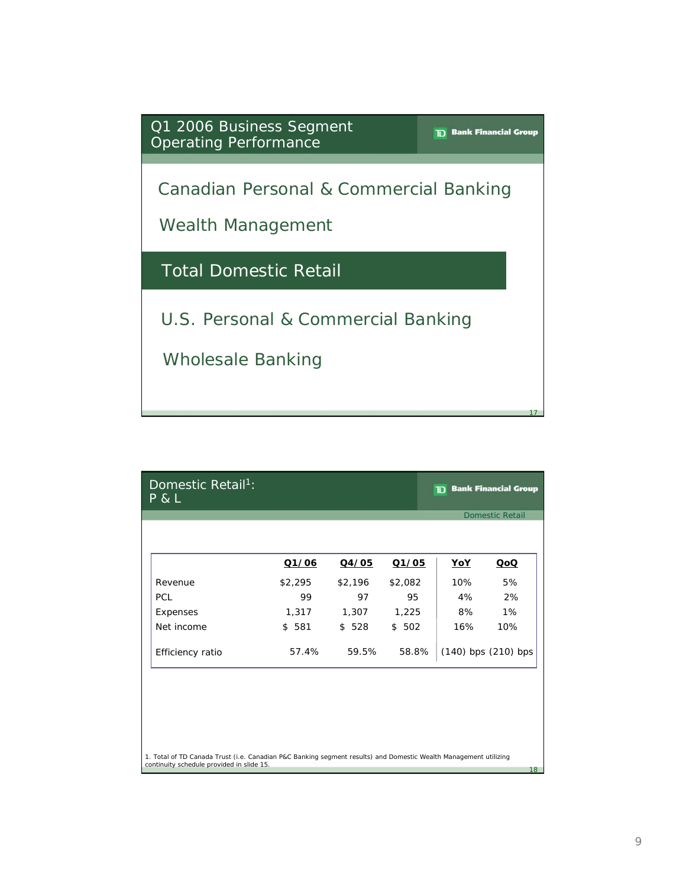

| $P$ & L          |         |         |         |                         | <b>Domestic Retail</b> |
|------------------|---------|---------|---------|-------------------------|------------------------|
|                  | Q1/06   | Q4/05   | Q1/05   | <u>YoY</u>              | $\underline{O}$        |
| Revenue          | \$2,295 | \$2,196 | \$2,082 | 10%                     | 5%                     |
| PCL              | 99      | 97      | 95      | 4%                      | 2%                     |
| Expenses         | 1,317   | 1,307   | 1,225   | 8%                      | $1\%$                  |
| Net income       | \$581   | \$528   | \$502   | 16%                     | 10%                    |
| Efficiency ratio | 57.4%   | 59.5%   | 58.8%   | $(140)$ bps $(210)$ bps |                        |
|                  |         |         |         |                         |                        |
|                  |         |         |         |                         |                        |
|                  |         |         |         |                         |                        |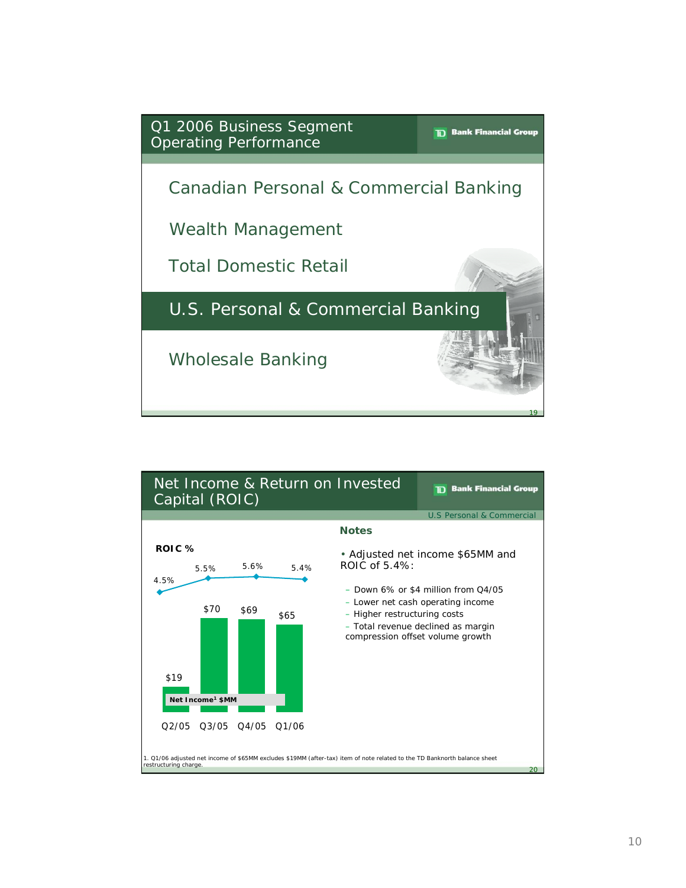

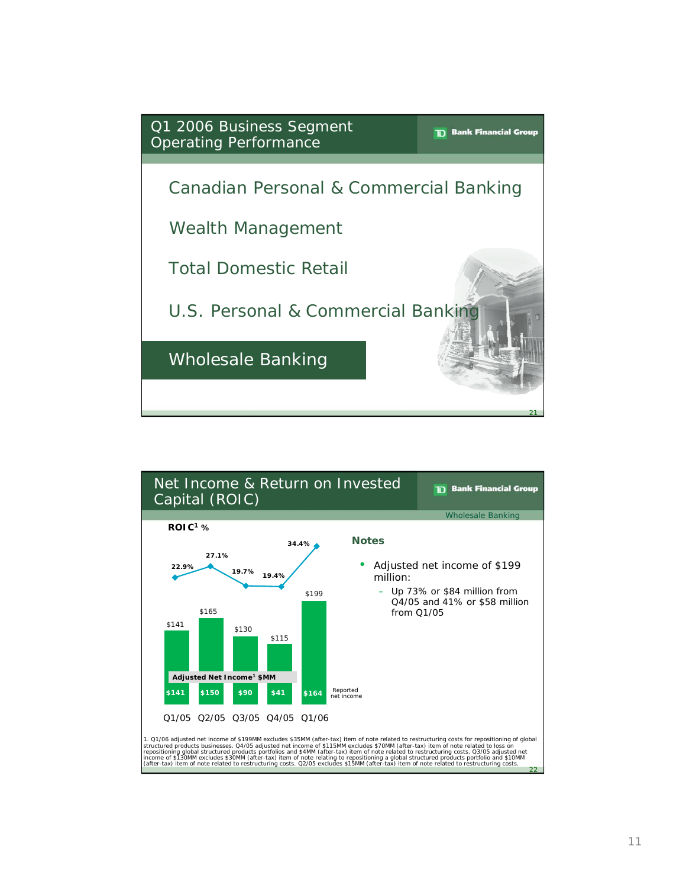

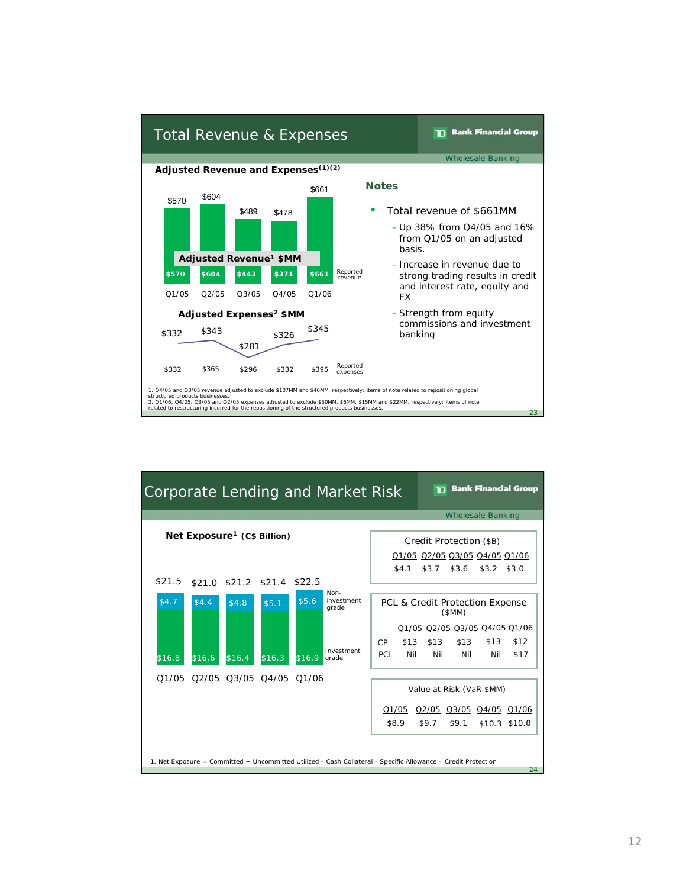